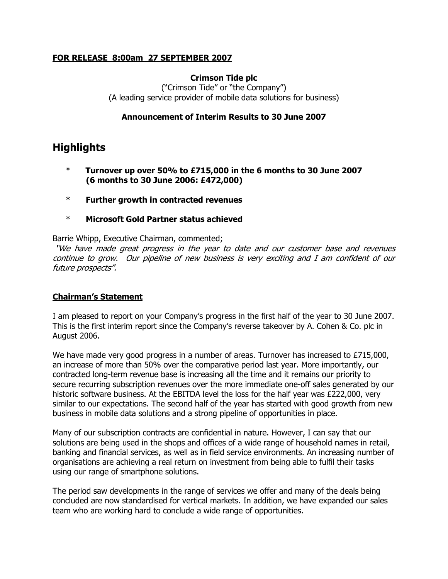## **FOR RELEASE 8:00am 27 SEPTEMBER 2007**

## **Crimson Tide plc**

("Crimson Tide" or "the Company") (A leading service provider of mobile data solutions for business)

## **Announcement of Interim Results to 30 June 2007**

# **Highlights**

- \* **Turnover up over 50% to £715,000 in the 6 months to 30 June 2007 (6 months to 30 June 2006: £472,000)**
- \* **Further growth in contracted revenues**
- \* **Microsoft Gold Partner status achieved**

Barrie Whipp, Executive Chairman, commented;

"We have made great progress in the year to date and our customer base and revenues continue to grow. Our pipeline of new business is very exciting and I am confident of our future prospects".

#### **Chairman's Statement**

I am pleased to report on your Company's progress in the first half of the year to 30 June 2007. This is the first interim report since the Company's reverse takeover by A. Cohen & Co. plc in August 2006.

We have made very good progress in a number of areas. Turnover has increased to £715,000, an increase of more than 50% over the comparative period last year. More importantly, our contracted long-term revenue base is increasing all the time and it remains our priority to secure recurring subscription revenues over the more immediate one-off sales generated by our historic software business. At the EBITDA level the loss for the half year was £222,000, very similar to our expectations. The second half of the year has started with good growth from new business in mobile data solutions and a strong pipeline of opportunities in place.

Many of our subscription contracts are confidential in nature. However, I can say that our solutions are being used in the shops and offices of a wide range of household names in retail, banking and financial services, as well as in field service environments. An increasing number of organisations are achieving a real return on investment from being able to fulfil their tasks using our range of smartphone solutions.

The period saw developments in the range of services we offer and many of the deals being concluded are now standardised for vertical markets. In addition, we have expanded our sales team who are working hard to conclude a wide range of opportunities.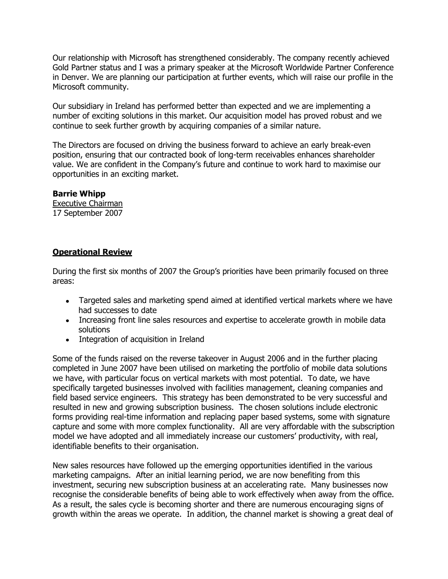Our relationship with Microsoft has strengthened considerably. The company recently achieved Gold Partner status and I was a primary speaker at the Microsoft Worldwide Partner Conference in Denver. We are planning our participation at further events, which will raise our profile in the Microsoft community.

Our subsidiary in Ireland has performed better than expected and we are implementing a number of exciting solutions in this market. Our acquisition model has proved robust and we continue to seek further growth by acquiring companies of a similar nature.

The Directors are focused on driving the business forward to achieve an early break-even position, ensuring that our contracted book of long-term receivables enhances shareholder value. We are confident in the Company's future and continue to work hard to maximise our opportunities in an exciting market.

## **Barrie Whipp**

Executive Chairman 17 September 2007

## **Operational Review**

During the first six months of 2007 the Group's priorities have been primarily focused on three areas:

- Targeted sales and marketing spend aimed at identified vertical markets where we have had successes to date
- Increasing front line sales resources and expertise to accelerate growth in mobile data solutions
- Integration of acquisition in Ireland

Some of the funds raised on the reverse takeover in August 2006 and in the further placing completed in June 2007 have been utilised on marketing the portfolio of mobile data solutions we have, with particular focus on vertical markets with most potential. To date, we have specifically targeted businesses involved with facilities management, cleaning companies and field based service engineers. This strategy has been demonstrated to be very successful and resulted in new and growing subscription business. The chosen solutions include electronic forms providing real-time information and replacing paper based systems, some with signature capture and some with more complex functionality. All are very affordable with the subscription model we have adopted and all immediately increase our customers' productivity, with real, identifiable benefits to their organisation.

New sales resources have followed up the emerging opportunities identified in the various marketing campaigns. After an initial learning period, we are now benefiting from this investment, securing new subscription business at an accelerating rate. Many businesses now recognise the considerable benefits of being able to work effectively when away from the office. As a result, the sales cycle is becoming shorter and there are numerous encouraging signs of growth within the areas we operate. In addition, the channel market is showing a great deal of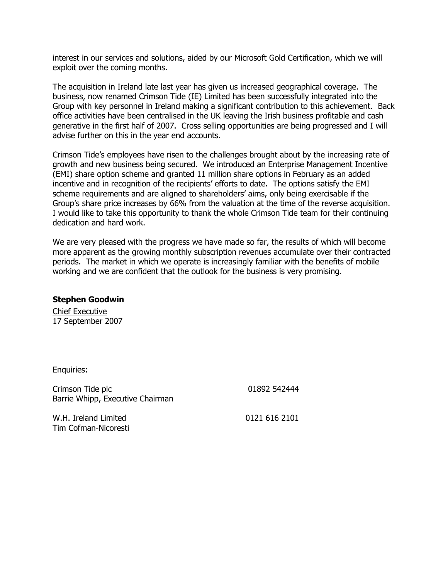interest in our services and solutions, aided by our Microsoft Gold Certification, which we will exploit over the coming months.

The acquisition in Ireland late last year has given us increased geographical coverage. The business, now renamed Crimson Tide (IE) Limited has been successfully integrated into the Group with key personnel in Ireland making a significant contribution to this achievement. Back office activities have been centralised in the UK leaving the Irish business profitable and cash generative in the first half of 2007. Cross selling opportunities are being progressed and I will advise further on this in the year end accounts.

Crimson Tide's employees have risen to the challenges brought about by the increasing rate of growth and new business being secured. We introduced an Enterprise Management Incentive (EMI) share option scheme and granted 11 million share options in February as an added incentive and in recognition of the recipients' efforts to date. The options satisfy the EMI scheme requirements and are aligned to shareholders' aims, only being exercisable if the Group's share price increases by 66% from the valuation at the time of the reverse acquisition. I would like to take this opportunity to thank the whole Crimson Tide team for their continuing dedication and hard work.

We are very pleased with the progress we have made so far, the results of which will become more apparent as the growing monthly subscription revenues accumulate over their contracted periods. The market in which we operate is increasingly familiar with the benefits of mobile working and we are confident that the outlook for the business is very promising.

#### **Stephen Goodwin**

Chief Executive 17 September 2007

Enquiries:

Crimson Tide plc Barrie Whipp, Executive Chairman 01892 542444

W.H. Ireland Limited Tim Cofman-Nicoresti 0121 616 2101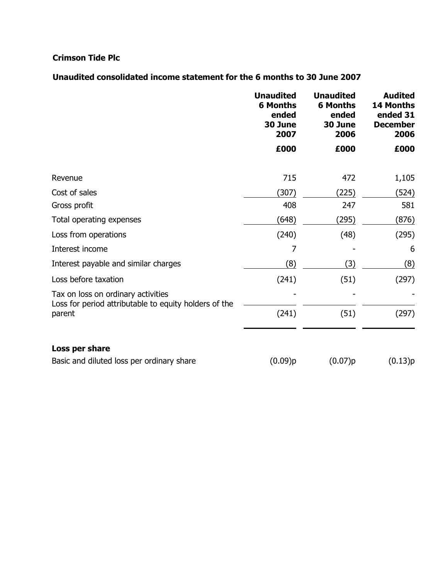## **Crimson Tide Plc**

## **Unaudited consolidated income statement for the 6 months to 30 June 2007**

|                                                                                             | <b>Unaudited</b><br><b>6 Months</b><br>ended<br>30 June<br>2007 | <b>Unaudited</b><br><b>6 Months</b><br>ended<br>30 June<br>2006 | <b>Audited</b><br><b>14 Months</b><br>ended 31<br><b>December</b><br>2006 |
|---------------------------------------------------------------------------------------------|-----------------------------------------------------------------|-----------------------------------------------------------------|---------------------------------------------------------------------------|
|                                                                                             | £000                                                            | £000                                                            | £000                                                                      |
| Revenue                                                                                     | 715                                                             | 472                                                             | 1,105                                                                     |
| Cost of sales                                                                               | (307)                                                           | (225)                                                           | (524)                                                                     |
| Gross profit                                                                                | 408                                                             | 247                                                             | 581                                                                       |
| Total operating expenses                                                                    | (648)                                                           | (295)                                                           | (876)                                                                     |
| Loss from operations                                                                        | (240)                                                           | (48)                                                            | (295)                                                                     |
| Interest income                                                                             | 7                                                               |                                                                 | 6                                                                         |
| Interest payable and similar charges                                                        | (8)                                                             | (3)                                                             | (8)                                                                       |
| Loss before taxation                                                                        | (241)                                                           | (51)                                                            | (297)                                                                     |
| Tax on loss on ordinary activities<br>Loss for period attributable to equity holders of the |                                                                 |                                                                 |                                                                           |
| parent                                                                                      | (241)                                                           | (51)                                                            | (297)                                                                     |
| Loss per share                                                                              |                                                                 |                                                                 |                                                                           |
| Basic and diluted loss per ordinary share                                                   | (0.09)p                                                         | (0.07)p                                                         | (0.13)p                                                                   |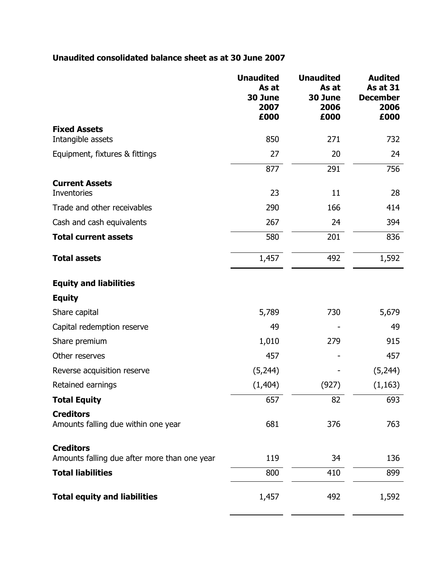## **Unaudited consolidated balance sheet as at 30 June 2007**

|                                                                  | <b>Unaudited</b><br>As at<br>30 June<br>2007<br>£000 | <b>Unaudited</b><br>As at<br>30 June<br>2006<br>£000 | <b>Audited</b><br><b>As at 31</b><br><b>December</b><br>2006<br>£000 |
|------------------------------------------------------------------|------------------------------------------------------|------------------------------------------------------|----------------------------------------------------------------------|
| <b>Fixed Assets</b>                                              |                                                      |                                                      |                                                                      |
| Intangible assets                                                | 850                                                  | 271                                                  | 732                                                                  |
| Equipment, fixtures & fittings                                   | 27                                                   | 20                                                   | 24                                                                   |
|                                                                  | 877                                                  | 291                                                  | 756                                                                  |
| <b>Current Assets</b><br>Inventories                             | 23                                                   | 11                                                   | 28                                                                   |
| Trade and other receivables                                      | 290                                                  | 166                                                  | 414                                                                  |
| Cash and cash equivalents                                        | 267                                                  | 24                                                   | 394                                                                  |
| <b>Total current assets</b>                                      | 580                                                  | 201                                                  | 836                                                                  |
| <b>Total assets</b>                                              | 1,457                                                | 492                                                  | 1,592                                                                |
| <b>Equity and liabilities</b>                                    |                                                      |                                                      |                                                                      |
| <b>Equity</b>                                                    |                                                      |                                                      |                                                                      |
| Share capital                                                    | 5,789                                                | 730                                                  | 5,679                                                                |
| Capital redemption reserve                                       | 49                                                   |                                                      | 49                                                                   |
| Share premium                                                    | 1,010                                                | 279                                                  | 915                                                                  |
| Other reserves                                                   | 457                                                  |                                                      | 457                                                                  |
| Reverse acquisition reserve                                      | (5,244)                                              |                                                      | (5,244)                                                              |
| Retained earnings                                                | (1, 404)                                             | (927)                                                | (1, 163)                                                             |
| <b>Total Equity</b>                                              | 657                                                  | 82                                                   | 693                                                                  |
| <b>Creditors</b><br>Amounts falling due within one year          | 681                                                  | 376                                                  | 763                                                                  |
| <b>Creditors</b><br>Amounts falling due after more than one year | 119                                                  | 34                                                   | 136                                                                  |
| <b>Total liabilities</b>                                         | 800                                                  | 410                                                  | 899                                                                  |
| <b>Total equity and liabilities</b>                              | 1,457                                                | 492                                                  | 1,592                                                                |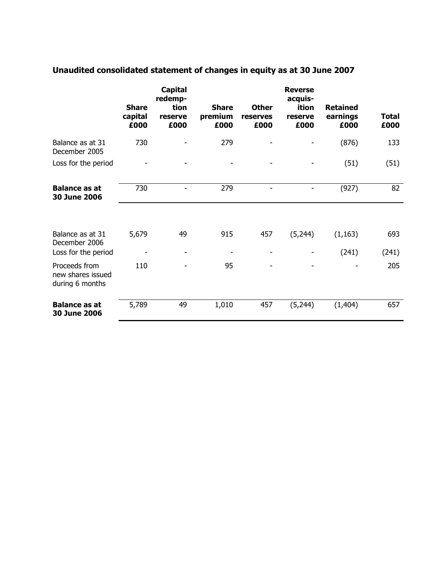|                                                       | <b>Share</b><br>capital<br>£000 | <b>Capital</b><br>redemp-<br>tion<br>reserve<br>£000 | <b>Share</b><br>premium<br>£000 | <b>Other</b><br>reserves<br>£000 | <b>Reverse</b><br>acquis-<br>ition<br>reserve<br>£000 | <b>Retained</b><br>earnings<br>£000 | Total<br>£000 |
|-------------------------------------------------------|---------------------------------|------------------------------------------------------|---------------------------------|----------------------------------|-------------------------------------------------------|-------------------------------------|---------------|
| Balance as at 31<br>December 2005                     | 730                             |                                                      | 279                             |                                  |                                                       | (876)                               | 133           |
| Loss for the period                                   |                                 |                                                      |                                 |                                  |                                                       | (51)                                | (51)          |
| <b>Balance as at</b><br>30 June 2006                  | 730                             | $\overline{\phantom{0}}$                             | 279                             |                                  |                                                       | (927)                               | 82            |
|                                                       |                                 |                                                      |                                 |                                  |                                                       |                                     |               |
|                                                       |                                 |                                                      |                                 |                                  |                                                       |                                     |               |
| Balance as at 31<br>December 2006                     | 5,679                           | 49                                                   | 915                             | 457                              | (5,244)                                               | (1, 163)                            | 693           |
| Loss for the period                                   |                                 | $\qquad \qquad \blacksquare$                         |                                 |                                  |                                                       | (241)                               | (241)         |
| Proceeds from<br>new shares issued<br>during 6 months | 110                             |                                                      | 95                              |                                  |                                                       |                                     | 205           |

# **Unaudited consolidated statement of changes in equity as at 30 June 2007**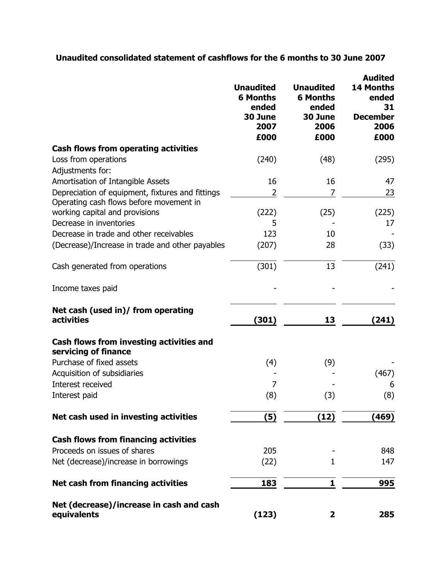## **Unaudited consolidated statement of cashflows for the 6 months to 30 June 2007**

|                                                                    | <b>Unaudited</b><br><b>6 Months</b><br>ended<br>30 June<br>2007<br>£000 | <b>Unaudited</b><br><b>6 Months</b><br>ended<br>30 June<br>2006<br>£000 | <b>Audited</b><br>14 Months<br>ended<br>31<br><b>December</b><br>2006<br>£000 |
|--------------------------------------------------------------------|-------------------------------------------------------------------------|-------------------------------------------------------------------------|-------------------------------------------------------------------------------|
| <b>Cash flows from operating activities</b>                        |                                                                         |                                                                         |                                                                               |
| Loss from operations                                               | (240)                                                                   | (48)                                                                    | (295)                                                                         |
| Adjustments for:<br>Amortisation of Intangible Assets              | 16                                                                      | 16                                                                      | 47                                                                            |
| Depreciation of equipment, fixtures and fittings                   | 2                                                                       | 7                                                                       | 23                                                                            |
| Operating cash flows before movement in                            |                                                                         |                                                                         |                                                                               |
| working capital and provisions                                     | (222)                                                                   | (25)                                                                    | (225)                                                                         |
| Decrease in inventories<br>Decrease in trade and other receivables | 5                                                                       |                                                                         | 17                                                                            |
| (Decrease)/Increase in trade and other payables                    | 123<br>(207)                                                            | 10<br>28                                                                | (33)                                                                          |
|                                                                    |                                                                         |                                                                         |                                                                               |
| Cash generated from operations                                     | (301)                                                                   | 13                                                                      | (241)                                                                         |
| Income taxes paid                                                  |                                                                         |                                                                         |                                                                               |
| Net cash (used in)/ from operating<br><b>activities</b>            | (301)                                                                   | 13                                                                      | (241)                                                                         |
| Cash flows from investing activities and<br>servicing of finance   |                                                                         |                                                                         |                                                                               |
| Purchase of fixed assets                                           | (4)                                                                     | (9)                                                                     |                                                                               |
| Acquisition of subsidiaries                                        |                                                                         |                                                                         | (467)                                                                         |
| Interest received                                                  | 7                                                                       |                                                                         | 6                                                                             |
| Interest paid                                                      | (8)                                                                     | (3)                                                                     | (8)                                                                           |
| Net cash used in investing activities                              | (5)                                                                     | (12)                                                                    | (469)                                                                         |
| <b>Cash flows from financing activities</b>                        |                                                                         |                                                                         |                                                                               |
| Proceeds on issues of shares                                       | 205                                                                     |                                                                         | 848                                                                           |
| Net (decrease)/increase in borrowings                              | (22)                                                                    | 1                                                                       | 147                                                                           |
| <b>Net cash from financing activities</b>                          | 183                                                                     | 1                                                                       | 995                                                                           |
| Net (decrease)/increase in cash and cash<br>equivalents            | (123)                                                                   | 2                                                                       | 285                                                                           |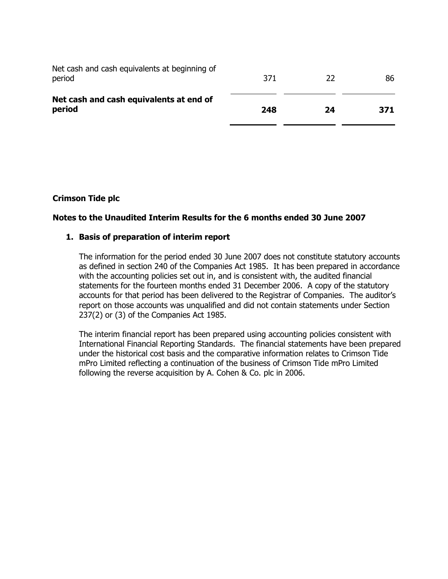| Net cash and cash equivalents at end of<br>period       | 248 | 24  | 371 |
|---------------------------------------------------------|-----|-----|-----|
| Net cash and cash equivalents at beginning of<br>period | 371 | -22 | 86  |

## **Crimson Tide plc**

## **Notes to the Unaudited Interim Results for the 6 months ended 30 June 2007**

## **1. Basis of preparation of interim report**

The information for the period ended 30 June 2007 does not constitute statutory accounts as defined in section 240 of the Companies Act 1985. It has been prepared in accordance with the accounting policies set out in, and is consistent with, the audited financial statements for the fourteen months ended 31 December 2006. A copy of the statutory accounts for that period has been delivered to the Registrar of Companies. The auditor's report on those accounts was unqualified and did not contain statements under Section 237(2) or (3) of the Companies Act 1985.

The interim financial report has been prepared using accounting policies consistent with International Financial Reporting Standards. The financial statements have been prepared under the historical cost basis and the comparative information relates to Crimson Tide mPro Limited reflecting a continuation of the business of Crimson Tide mPro Limited following the reverse acquisition by A. Cohen & Co. plc in 2006.